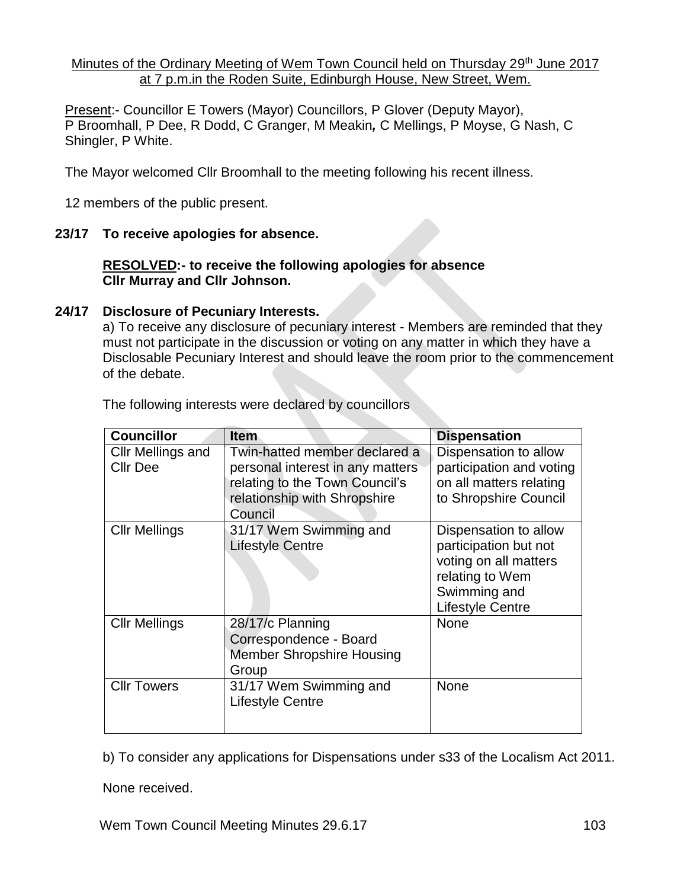Minutes of the Ordinary Meeting of Wem Town Council held on Thursday 29<sup>th</sup> June 2017 at 7 p.m.in the Roden Suite, Edinburgh House, New Street, Wem.

Present:- Councillor E Towers (Mayor) Councillors, P Glover (Deputy Mayor), P Broomhall, P Dee, R Dodd, C Granger, M Meakin*,* C Mellings, P Moyse, G Nash, C Shingler, P White.

The Mayor welcomed Cllr Broomhall to the meeting following his recent illness.

12 members of the public present.

#### **23/17 To receive apologies for absence.**

#### **RESOLVED:- to receive the following apologies for absence Cllr Murray and Cllr Johnson.**

#### **24/17 Disclosure of Pecuniary Interests.**

a) To receive any disclosure of pecuniary interest - Members are reminded that they must not participate in the discussion or voting on any matter in which they have a Disclosable Pecuniary Interest and should leave the room prior to the commencement of the debate.

| <b>Councillor</b>                    | <b>Item</b>                                                                                                                                    | <b>Dispensation</b>                                                                                                                   |
|--------------------------------------|------------------------------------------------------------------------------------------------------------------------------------------------|---------------------------------------------------------------------------------------------------------------------------------------|
| Cllr Mellings and<br><b>Cllr Dee</b> | Twin-hatted member declared a<br>personal interest in any matters<br>relating to the Town Council's<br>relationship with Shropshire<br>Council | Dispensation to allow<br>participation and voting<br>on all matters relating<br>to Shropshire Council                                 |
| <b>Cllr Mellings</b>                 | 31/17 Wem Swimming and<br><b>Lifestyle Centre</b>                                                                                              | Dispensation to allow<br>participation but not<br>voting on all matters<br>relating to Wem<br>Swimming and<br><b>Lifestyle Centre</b> |
| <b>Cllr Mellings</b>                 | 28/17/c Planning<br>Correspondence - Board<br><b>Member Shropshire Housing</b><br>Group                                                        | <b>None</b>                                                                                                                           |
| <b>Cllr Towers</b>                   | 31/17 Wem Swimming and<br><b>Lifestyle Centre</b>                                                                                              | None                                                                                                                                  |

The following interests were declared by councillors

b) To consider any applications for Dispensations under s33 of the Localism Act 2011.

None received.

Wem Town Council Meeting Minutes 29.6.17 103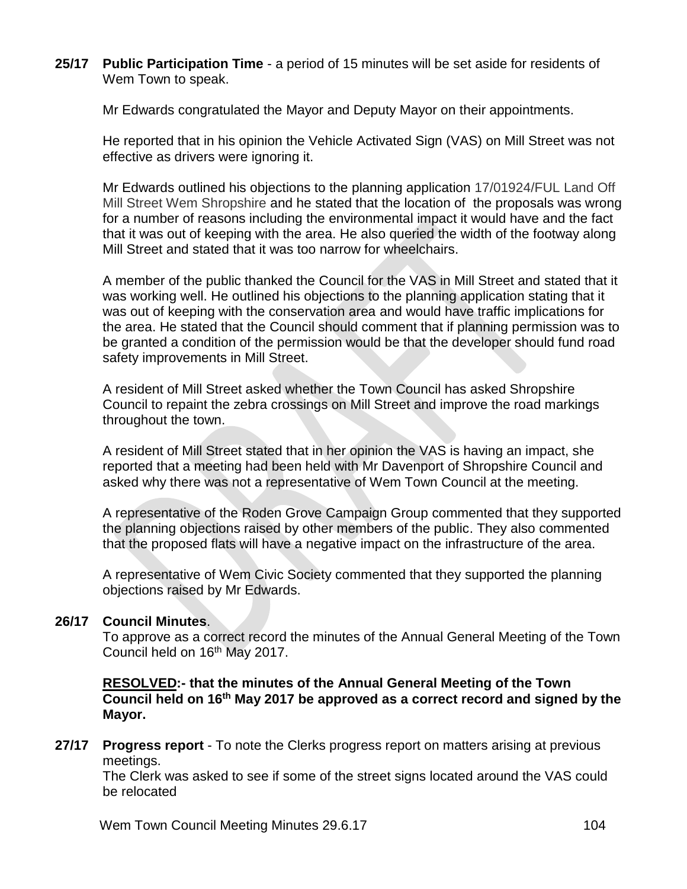**25/17 Public Participation Time** - a period of 15 minutes will be set aside for residents of Wem Town to speak.

Mr Edwards congratulated the Mayor and Deputy Mayor on their appointments.

He reported that in his opinion the Vehicle Activated Sign (VAS) on Mill Street was not effective as drivers were ignoring it.

Mr Edwards outlined his objections to the planning application 17/01924/FUL Land Off Mill Street Wem Shropshire and he stated that the location of the proposals was wrong for a number of reasons including the environmental impact it would have and the fact that it was out of keeping with the area. He also queried the width of the footway along Mill Street and stated that it was too narrow for wheelchairs.

A member of the public thanked the Council for the VAS in Mill Street and stated that it was working well. He outlined his objections to the planning application stating that it was out of keeping with the conservation area and would have traffic implications for the area. He stated that the Council should comment that if planning permission was to be granted a condition of the permission would be that the developer should fund road safety improvements in Mill Street.

A resident of Mill Street asked whether the Town Council has asked Shropshire Council to repaint the zebra crossings on Mill Street and improve the road markings throughout the town.

A resident of Mill Street stated that in her opinion the VAS is having an impact, she reported that a meeting had been held with Mr Davenport of Shropshire Council and asked why there was not a representative of Wem Town Council at the meeting.

A representative of the Roden Grove Campaign Group commented that they supported the planning objections raised by other members of the public. They also commented that the proposed flats will have a negative impact on the infrastructure of the area.

A representative of Wem Civic Society commented that they supported the planning objections raised by Mr Edwards.

### **26/17 Council Minutes**.

To approve as a correct record the minutes of the Annual General Meeting of the Town Council held on 16<sup>th</sup> May 2017.

**RESOLVED:- that the minutes of the Annual General Meeting of the Town Council held on 16th May 2017 be approved as a correct record and signed by the Mayor.**

**27/17 Progress report** - To note the Clerks progress report on matters arising at previous meetings.

The Clerk was asked to see if some of the street signs located around the VAS could be relocated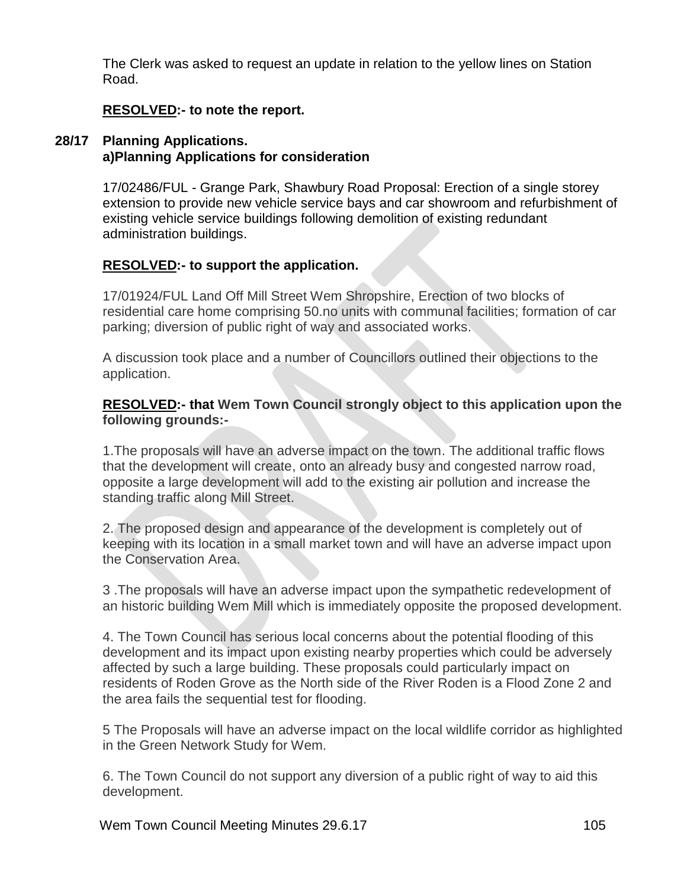The Clerk was asked to request an update in relation to the yellow lines on Station Road.

### **RESOLVED:- to note the report.**

#### **28/17 Planning Applications. a)Planning Applications for consideration**

17/02486/FUL - Grange Park, Shawbury Road Proposal: Erection of a single storey extension to provide new vehicle service bays and car showroom and refurbishment of existing vehicle service buildings following demolition of existing redundant administration buildings.

## **RESOLVED:- to support the application.**

17/01924/FUL Land Off Mill Street Wem Shropshire, Erection of two blocks of residential care home comprising 50.no units with communal facilities; formation of car parking; diversion of public right of way and associated works.

A discussion took place and a number of Councillors outlined their objections to the application.

### **RESOLVED:- that Wem Town Council strongly object to this application upon the following grounds:-**

1.The proposals will have an adverse impact on the town. The additional traffic flows that the development will create, onto an already busy and congested narrow road, opposite a large development will add to the existing air pollution and increase the standing traffic along Mill Street.

2. The proposed design and appearance of the development is completely out of keeping with its location in a small market town and will have an adverse impact upon the Conservation Area.

3 .The proposals will have an adverse impact upon the sympathetic redevelopment of an historic building Wem Mill which is immediately opposite the proposed development.

4. The Town Council has serious local concerns about the potential flooding of this development and its impact upon existing nearby properties which could be adversely affected by such a large building. These proposals could particularly impact on residents of Roden Grove as the North side of the River Roden is a Flood Zone 2 and the area fails the sequential test for flooding.

5 The Proposals will have an adverse impact on the local wildlife corridor as highlighted in the Green Network Study for Wem.

6. The Town Council do not support any diversion of a public right of way to aid this development.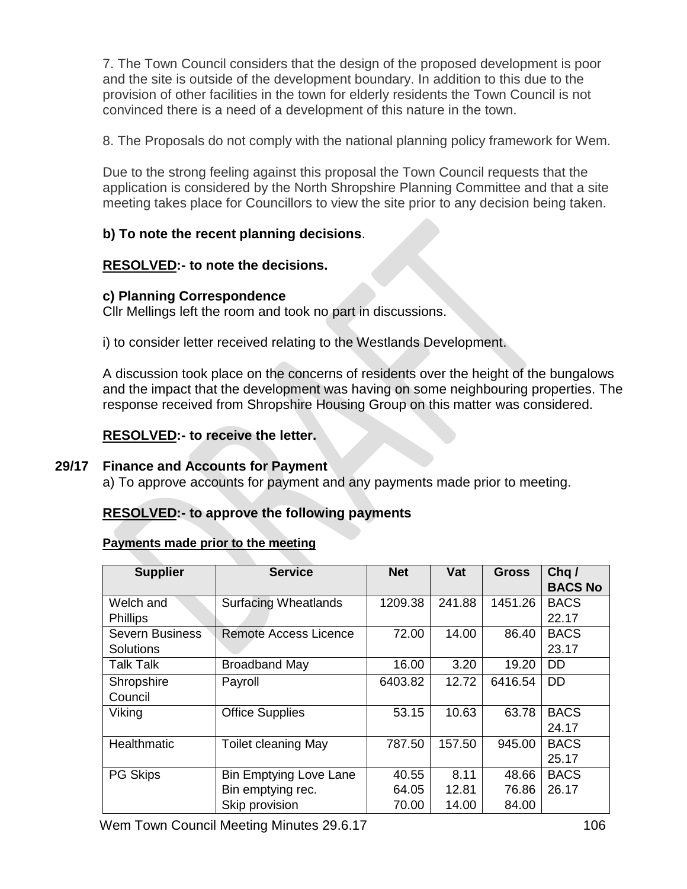7. The Town Council considers that the design of the proposed development is poor and the site is outside of the development boundary. In addition to this due to the provision of other facilities in the town for elderly residents the Town Council is not convinced there is a need of a development of this nature in the town.

8. The Proposals do not comply with the national planning policy framework for Wem.

Due to the strong feeling against this proposal the Town Council requests that the application is considered by the North Shropshire Planning Committee and that a site meeting takes place for Councillors to view the site prior to any decision being taken.

# **b) To note the recent planning decisions**.

# **RESOLVED:- to note the decisions.**

#### **c) Planning Correspondence**

Cllr Mellings left the room and took no part in discussions.

i) to consider letter received relating to the Westlands Development.

A discussion took place on the concerns of residents over the height of the bungalows and the impact that the development was having on some neighbouring properties. The response received from Shropshire Housing Group on this matter was considered.

## **RESOLVED:- to receive the letter.**

#### **29/17 Finance and Accounts for Payment**

a) To approve accounts for payment and any payments made prior to meeting.

# **RESOLVED:- to approve the following payments**

#### **Payments made prior to the meeting**

| <b>Supplier</b>        | <b>Service</b>                | <b>Net</b> | Vat    | <b>Gross</b> | Chq/<br><b>BACS No</b> |
|------------------------|-------------------------------|------------|--------|--------------|------------------------|
| Welch and              | <b>Surfacing Wheatlands</b>   | 1209.38    | 241.88 | 1451.26      | <b>BACS</b>            |
| <b>Phillips</b>        |                               |            |        |              | 22.17                  |
| <b>Severn Business</b> | <b>Remote Access Licence</b>  | 72.00      | 14.00  | 86.40        | <b>BACS</b>            |
| <b>Solutions</b>       |                               |            |        |              | 23.17                  |
| <b>Talk Talk</b>       | <b>Broadband May</b>          | 16.00      | 3.20   | 19.20        | <b>DD</b>              |
| Shropshire             | Payroll                       | 6403.82    | 12.72  | 6416.54      | <b>DD</b>              |
| Council                |                               |            |        |              |                        |
| Viking                 | <b>Office Supplies</b>        | 53.15      | 10.63  | 63.78        | <b>BACS</b>            |
|                        |                               |            |        |              | 24.17                  |
| Healthmatic            | <b>Toilet cleaning May</b>    | 787.50     | 157.50 | 945.00       | <b>BACS</b>            |
|                        |                               |            |        |              | 25.17                  |
| <b>PG Skips</b>        | <b>Bin Emptying Love Lane</b> | 40.55      | 8.11   | 48.66        | <b>BACS</b>            |
|                        | Bin emptying rec.             | 64.05      | 12.81  | 76.86        | 26.17                  |
|                        | Skip provision                | 70.00      | 14.00  | 84.00        |                        |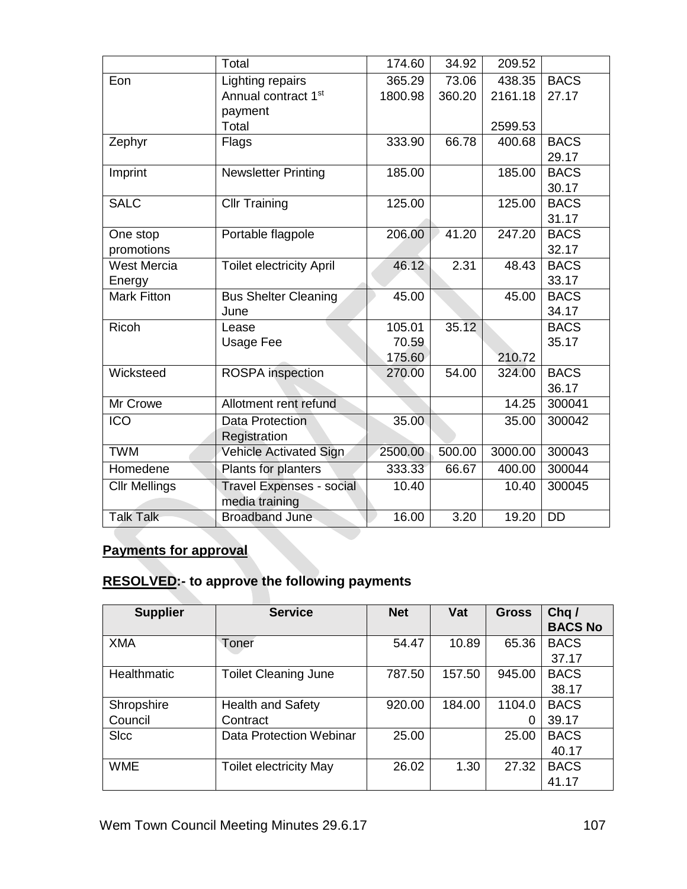|                      | Total                           | 174.60  | 34.92  | 209.52  |             |
|----------------------|---------------------------------|---------|--------|---------|-------------|
| Eon                  | Lighting repairs                | 365.29  | 73.06  | 438.35  | <b>BACS</b> |
|                      | Annual contract 1st             | 1800.98 | 360.20 | 2161.18 | 27.17       |
|                      | payment                         |         |        |         |             |
|                      | Total                           |         |        | 2599.53 |             |
| Zephyr               | Flags                           | 333.90  | 66.78  | 400.68  | <b>BACS</b> |
|                      |                                 |         |        |         | 29.17       |
| Imprint              | <b>Newsletter Printing</b>      | 185.00  |        | 185.00  | <b>BACS</b> |
|                      |                                 |         |        |         | 30.17       |
| <b>SALC</b>          | <b>Cllr Training</b>            | 125.00  |        | 125.00  | <b>BACS</b> |
|                      |                                 |         |        |         | 31.17       |
| One stop             | Portable flagpole               | 206.00  | 41.20  | 247.20  | <b>BACS</b> |
| promotions           |                                 |         |        |         | 32.17       |
| <b>West Mercia</b>   | <b>Toilet electricity April</b> | 46.12   | 2.31   | 48.43   | <b>BACS</b> |
| Energy               |                                 |         |        |         | 33.17       |
| <b>Mark Fitton</b>   | <b>Bus Shelter Cleaning</b>     | 45.00   |        | 45.00   | <b>BACS</b> |
|                      | June                            |         |        |         | 34.17       |
| Ricoh                | Lease                           | 105.01  | 35.12  |         | <b>BACS</b> |
|                      | Usage Fee                       | 70.59   |        |         | 35.17       |
|                      |                                 | 175.60  |        | 210.72  |             |
| Wicksteed            | ROSPA inspection                | 270.00  | 54.00  | 324.00  | <b>BACS</b> |
|                      |                                 |         |        |         | 36.17       |
| Mr Crowe             | Allotment rent refund           |         |        | 14.25   | 300041      |
| <b>ICO</b>           | Data Protection                 | 35.00   |        | 35.00   | 300042      |
|                      | Registration                    |         |        |         |             |
| <b>TWM</b>           | Vehicle Activated Sign          | 2500.00 | 500.00 | 3000.00 | 300043      |
| Homedene             | Plants for planters             | 333.33  | 66.67  | 400.00  | 300044      |
| <b>Cllr Mellings</b> | <b>Travel Expenses - social</b> | 10.40   |        | 10.40   | 300045      |
|                      | media training                  |         |        |         |             |
| <b>Talk Talk</b>     | <b>Broadband June</b>           | 16.00   | 3.20   | 19.20   | <b>DD</b>   |

# **Payments for approval**

# **RESOLVED:- to approve the following payments**

| <b>Supplier</b>    | <b>Service</b>                | <b>Net</b> | Vat    | <b>Gross</b> | Chq/           |
|--------------------|-------------------------------|------------|--------|--------------|----------------|
|                    |                               |            |        |              | <b>BACS No</b> |
| <b>XMA</b>         | Toner                         | 54.47      | 10.89  | 65.36        | <b>BACS</b>    |
|                    |                               |            |        |              | 37.17          |
| <b>Healthmatic</b> | <b>Toilet Cleaning June</b>   | 787.50     | 157.50 | 945.00       | <b>BACS</b>    |
|                    |                               |            |        |              | 38.17          |
| Shropshire         | <b>Health and Safety</b>      | 920.00     | 184.00 | 1104.0       | <b>BACS</b>    |
| Council            | Contract                      |            |        | 0            | 39.17          |
| <b>SIcc</b>        | Data Protection Webinar       | 25.00      |        | 25.00        | <b>BACS</b>    |
|                    |                               |            |        |              | 40.17          |
| <b>WME</b>         | <b>Toilet electricity May</b> | 26.02      | 1.30   | 27.32        | <b>BACS</b>    |
|                    |                               |            |        |              | 41.17          |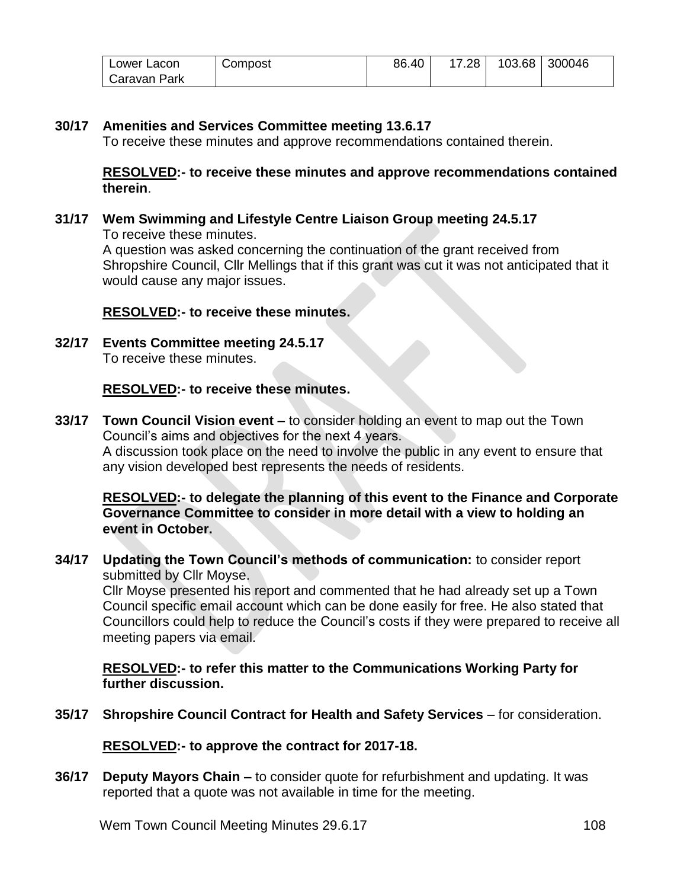| I Lower Lacon  | Compost | 86.40 | $17.28$ $\vert$ | 103.68 300046 |
|----------------|---------|-------|-----------------|---------------|
| l Caravan Park |         |       |                 |               |

## **30/17 Amenities and Services Committee meeting 13.6.17**

To receive these minutes and approve recommendations contained therein.

#### **RESOLVED:- to receive these minutes and approve recommendations contained therein**.

**31/17 Wem Swimming and Lifestyle Centre Liaison Group meeting 24.5.17** To receive these minutes. A question was asked concerning the continuation of the grant received from Shropshire Council, Cllr Mellings that if this grant was cut it was not anticipated that it would cause any major issues.

#### **RESOLVED:- to receive these minutes.**

**32/17 Events Committee meeting 24.5.17** To receive these minutes.

#### **RESOLVED:- to receive these minutes.**

**33/17 Town Council Vision event –** to consider holding an event to map out the Town Council's aims and objectives for the next 4 years. A discussion took place on the need to involve the public in any event to ensure that any vision developed best represents the needs of residents.

#### **RESOLVED:- to delegate the planning of this event to the Finance and Corporate Governance Committee to consider in more detail with a view to holding an event in October.**

**34/17 Updating the Town Council's methods of communication:** to consider report submitted by Cllr Moyse.

Cllr Moyse presented his report and commented that he had already set up a Town Council specific email account which can be done easily for free. He also stated that Councillors could help to reduce the Council's costs if they were prepared to receive all meeting papers via email.

**RESOLVED:- to refer this matter to the Communications Working Party for further discussion.**

**35/17 Shropshire Council Contract for Health and Safety Services** – for consideration.

**RESOLVED:- to approve the contract for 2017-18.**

**36/17 Deputy Mayors Chain –** to consider quote for refurbishment and updating. It was reported that a quote was not available in time for the meeting.

Wem Town Council Meeting Minutes 29.6.17 108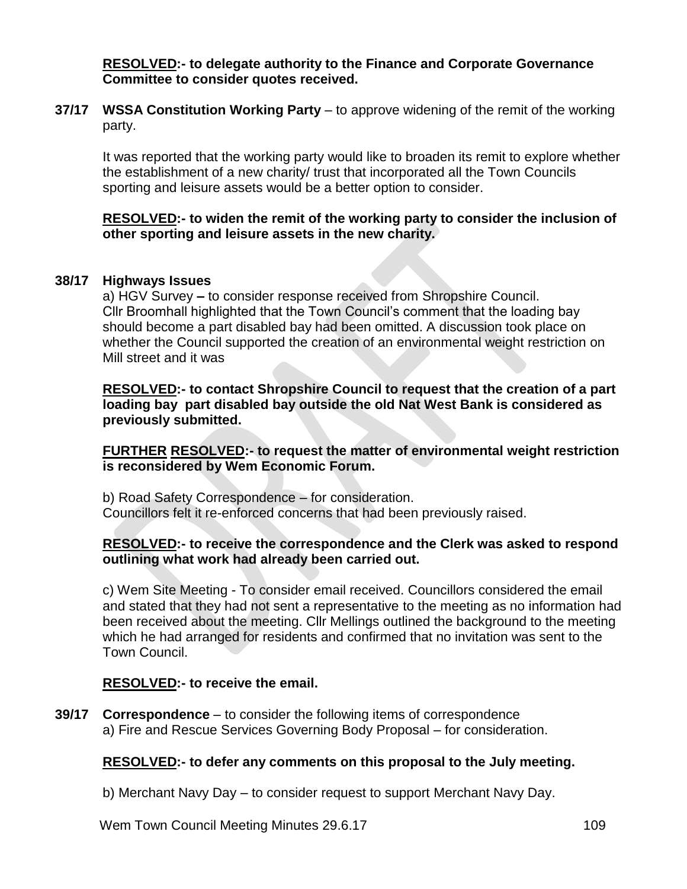**RESOLVED:- to delegate authority to the Finance and Corporate Governance Committee to consider quotes received.**

**37/17 WSSA Constitution Working Party** – to approve widening of the remit of the working party.

It was reported that the working party would like to broaden its remit to explore whether the establishment of a new charity/ trust that incorporated all the Town Councils sporting and leisure assets would be a better option to consider.

#### **RESOLVED:- to widen the remit of the working party to consider the inclusion of other sporting and leisure assets in the new charity.**

#### **38/17 Highways Issues**

a) HGV Survey **–** to consider response received from Shropshire Council. Cllr Broomhall highlighted that the Town Council's comment that the loading bay should become a part disabled bay had been omitted. A discussion took place on whether the Council supported the creation of an environmental weight restriction on Mill street and it was

**RESOLVED:- to contact Shropshire Council to request that the creation of a part loading bay part disabled bay outside the old Nat West Bank is considered as previously submitted.**

**FURTHER RESOLVED:- to request the matter of environmental weight restriction is reconsidered by Wem Economic Forum.**

b) Road Safety Correspondence – for consideration. Councillors felt it re-enforced concerns that had been previously raised.

#### **RESOLVED:- to receive the correspondence and the Clerk was asked to respond outlining what work had already been carried out.**

c) Wem Site Meeting - To consider email received. Councillors considered the email and stated that they had not sent a representative to the meeting as no information had been received about the meeting. Cllr Mellings outlined the background to the meeting which he had arranged for residents and confirmed that no invitation was sent to the Town Council.

#### **RESOLVED:- to receive the email.**

**39/17 Correspondence** – to consider the following items of correspondence a) Fire and Rescue Services Governing Body Proposal – for consideration.

# **RESOLVED:- to defer any comments on this proposal to the July meeting.**

b) Merchant Navy Day – to consider request to support Merchant Navy Day.

Wem Town Council Meeting Minutes 29.6.17 109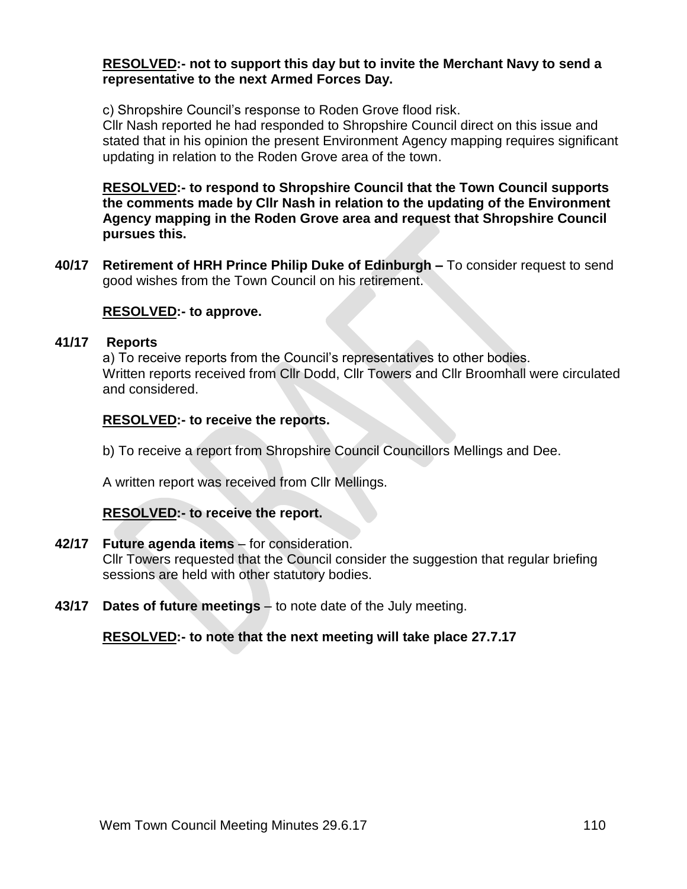#### **RESOLVED:- not to support this day but to invite the Merchant Navy to send a representative to the next Armed Forces Day.**

c) Shropshire Council's response to Roden Grove flood risk.

Cllr Nash reported he had responded to Shropshire Council direct on this issue and stated that in his opinion the present Environment Agency mapping requires significant updating in relation to the Roden Grove area of the town.

**RESOLVED:- to respond to Shropshire Council that the Town Council supports the comments made by Cllr Nash in relation to the updating of the Environment Agency mapping in the Roden Grove area and request that Shropshire Council pursues this.**

**40/17 Retirement of HRH Prince Philip Duke of Edinburgh –** To consider request to send good wishes from the Town Council on his retirement.

## **RESOLVED:- to approve.**

#### **41/17 Reports**

a) To receive reports from the Council's representatives to other bodies. Written reports received from Cllr Dodd, Cllr Towers and Cllr Broomhall were circulated and considered.

#### **RESOLVED:- to receive the reports.**

b) To receive a report from Shropshire Council Councillors Mellings and Dee.

A written report was received from Cllr Mellings.

# **RESOLVED:- to receive the report.**

#### **42/17 Future agenda items** – for consideration.

Cllr Towers requested that the Council consider the suggestion that regular briefing sessions are held with other statutory bodies.

**43/17 Dates of future meetings** – to note date of the July meeting.

#### **RESOLVED:- to note that the next meeting will take place 27.7.17**